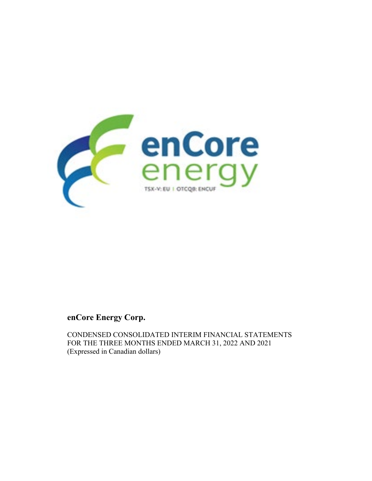

# **enCore Energy Corp.**

CONDENSED CONSOLIDATED INTERIM FINANCIAL STATEMENTS FOR THE THREE MONTHS ENDED MARCH 31, 2022 AND 2021 (Expressed in Canadian dollars)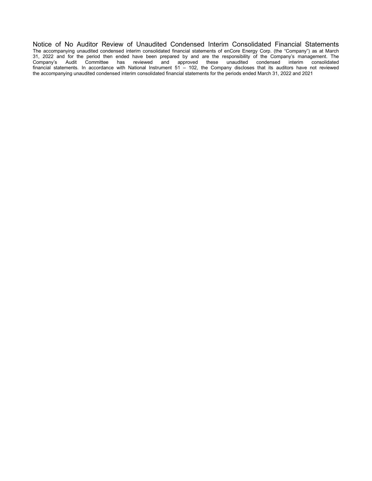Notice of No Auditor Review of Unaudited Condensed Interim Consolidated Financial Statements The accompanying unaudited condensed interim consolidated financial statements of enCore Energy Corp. (the "Company") as at March 31, 2022 and for the period then ended have been prepared by and are the responsibility of the Company's management. The Company's Audit Committee has reviewed and approved these unaudited condensed interim consolidated financial statements. In accordance with National Instrument 51 – 102, the Company discloses that its auditors have not reviewed the accompanying unaudited condensed interim consolidated financial statements for the periods ended March 31, 2022 and 2021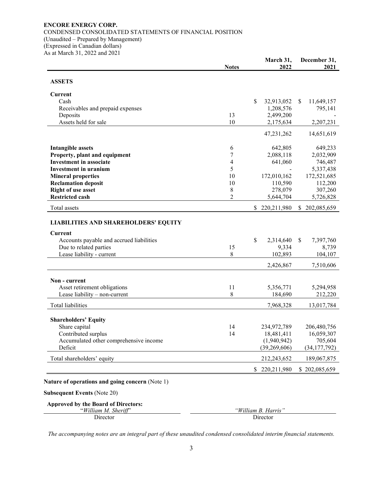## **ENCORE ENERGY CORP.** CONDENSED CONSOLIDATED STATEMENTS OF FINANCIAL POSITION (Unaudited – Prepared by Management) (Expressed in Canadian dollars) As at March 31, 2022 and 2021

|                                                                                                           | <b>Notes</b>   | March 31,<br>2022 | December 31,<br>2021 |
|-----------------------------------------------------------------------------------------------------------|----------------|-------------------|----------------------|
| <b>ASSETS</b>                                                                                             |                |                   |                      |
| <b>Current</b>                                                                                            |                |                   |                      |
| Cash                                                                                                      |                | \$<br>32,913,052  | \$<br>11,649,157     |
| Receivables and prepaid expenses                                                                          |                | 1,208,576         | 795,141              |
| Deposits                                                                                                  | 13             | 2,499,200         |                      |
| Assets held for sale                                                                                      | 10             | 2,175,634         | 2,207,231            |
|                                                                                                           |                | 47,231,262        | 14,651,619           |
| <b>Intangible assets</b>                                                                                  | 6              | 642,805           | 649,233              |
| Property, plant and equipment                                                                             | 7              | 2,088,118         | 2,032,909            |
| <b>Investment</b> in associate                                                                            | 4              | 641,060           | 746,487              |
| <b>Investment in uranium</b>                                                                              | 5              |                   | 5,337,438            |
| <b>Mineral properties</b>                                                                                 | 10             | 172,010,162       | 172,521,685          |
| <b>Reclamation deposit</b>                                                                                | 10             | 110,590           | 112,200              |
| <b>Right of use asset</b>                                                                                 | $\,8\,$        | 278,079           | 307,260              |
| <b>Restricted cash</b>                                                                                    | $\overline{2}$ | 5,644,704         | 5,726,828            |
| Total assets                                                                                              |                | 220, 211, 980     | 202,085,659<br>S.    |
| <b>LIABILITIES AND SHAREHOLDERS' EQUITY</b><br><b>Current</b><br>Accounts payable and accrued liabilities |                | \$<br>2,314,640   | \$<br>7,397,760      |
| Due to related parties                                                                                    | 15             | 9,334             | 8,739                |
| Lease liability - current                                                                                 | 8              | 102,893           | 104,107              |
|                                                                                                           |                |                   |                      |
|                                                                                                           |                | 2,426,867         | 7,510,606            |
| Non - current                                                                                             |                |                   |                      |
| Asset retirement obligations                                                                              | 11             | 5,356,771         | 5,294,958            |
| Lease liability - non-current                                                                             | 8              | 184,690           | 212,220              |
| <b>Total liabilities</b>                                                                                  |                | 7,968,328         | 13,017,784           |
| <b>Shareholders' Equity</b>                                                                               |                |                   |                      |
| Share capital                                                                                             | 14             | 234,972,789       | 206,480,756          |
| Contributed surplus                                                                                       | 14             | 18,481,411        | 16,059,307           |
| Accumulated other comprehensive income                                                                    |                | (1,940,942)       | 705,604              |
| Deficit                                                                                                   |                | (39, 269, 606)    | (34, 177, 792)       |
| Total shareholders' equity                                                                                |                | 212,243,652       | 189,067,875          |
|                                                                                                           |                |                   |                      |

| Approved by the Board of Directors: |                     |
|-------------------------------------|---------------------|
| "William M. Sheriff"                | "William B. Harris" |
| Director                            | Director            |

*The accompanying notes are an integral part of these unaudited condensed consolidated interim financial statements.*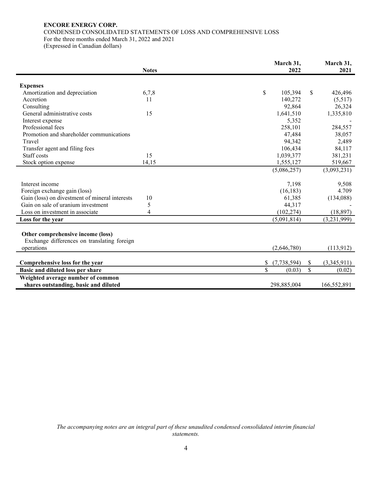## **ENCORE ENERGY CORP.** CONDENSED CONSOLIDATED STATEMENTS OF LOSS AND COMPREHENSIVE LOSS For the three months ended March 31, 2022 and 2021

(Expressed in Canadian dollars)

|                                                                                  | <b>Notes</b> | March 31,<br>2022   | March 31,<br>2021 |             |
|----------------------------------------------------------------------------------|--------------|---------------------|-------------------|-------------|
|                                                                                  |              |                     |                   |             |
| <b>Expenses</b>                                                                  |              |                     |                   |             |
| Amortization and depreciation                                                    | 6,7,8        | \$<br>105,394       | \$.               | 426,496     |
| Accretion                                                                        | 11           | 140,272             |                   | (5,517)     |
| Consulting                                                                       |              | 92,864              |                   | 26,324      |
| General administrative costs                                                     | 15           | 1,641,510           |                   | 1,335,810   |
| Interest expense                                                                 |              | 5,352               |                   |             |
| Professional fees                                                                |              | 258,101             |                   | 284,557     |
| Promotion and shareholder communications                                         |              | 47,484              |                   | 38,057      |
| Travel                                                                           |              | 94,342              |                   | 2,489       |
| Transfer agent and filing fees                                                   |              | 106,434             |                   | 84,117      |
| Staff costs                                                                      | 15           | 1,039,377           |                   | 381,231     |
| Stock option expense                                                             | 14,15        | 1,555,127           |                   | 519,667     |
|                                                                                  |              | (5,086,257)         |                   | (3,093,231) |
| Interest income                                                                  |              | 7,198               |                   | 9,508       |
| Foreign exchange gain (loss)                                                     |              | (16, 183)           |                   | 4.709       |
| Gain (loss) on divestment of mineral interests                                   | 10           | 61,385              |                   | (134,088)   |
| Gain on sale of uranium investment                                               | 5            | 44,317              |                   |             |
| Loss on investment in associate                                                  | 4            | (102, 274)          |                   | (18, 897)   |
| Loss for the year                                                                |              | (5,091,814)         |                   | (3,231,999) |
| Other comprehensive income (loss)<br>Exchange differences on translating foreign |              |                     |                   |             |
| operations                                                                       |              | (2,646,780)         |                   | (113,912)   |
|                                                                                  |              |                     |                   |             |
| Comprehensive loss for the year                                                  |              | (7, 738, 594)<br>\$ | \$                | (3,345,911) |
| Basic and diluted loss per share                                                 |              | \$<br>(0.03)        | \$                | (0.02)      |
| Weighted average number of common<br>shares outstanding, basic and diluted       |              | 298,885,004         |                   | 166,552,891 |
|                                                                                  |              |                     |                   |             |

*The accompanying notes are an integral part of these unaudited condensed consolidated interim financial statements.*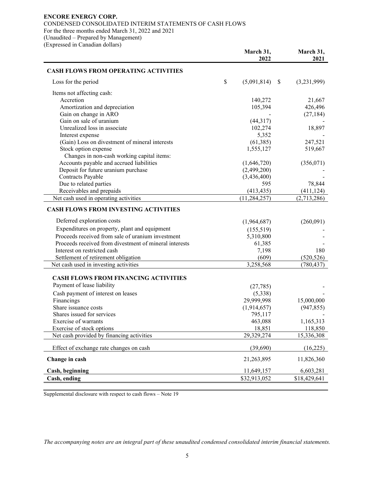## **ENCORE ENERGY CORP.**

CONDENSED CONSOLIDATED INTERIM STATEMENTS OF CASH FLOWS For the three months ended March 31, 2022 and 2021 (Unaudited – Prepared by Management)

(Expressed in Canadian dollars)

|                                                                           | March 31,<br>2022 | March 31,<br>2021 |
|---------------------------------------------------------------------------|-------------------|-------------------|
| <b>CASH FLOWS FROM OPERATING ACTIVITIES</b>                               |                   |                   |
| Loss for the period                                                       | \$<br>(5,091,814) | \$<br>(3,231,999) |
| Items not affecting cash:                                                 |                   |                   |
| Accretion                                                                 | 140,272           | 21,667            |
| Amortization and depreciation                                             | 105,394           | 426,496           |
| Gain on change in ARO                                                     |                   | (27, 184)         |
| Gain on sale of uranium                                                   | (44,317)          |                   |
| Unrealized loss in associate                                              | 102,274           | 18,897            |
| Interest expense                                                          | 5,352             |                   |
| (Gain) Loss on divestment of mineral interests                            | (61, 385)         | 247,521           |
| Stock option expense                                                      | 1,555,127         | 519,667           |
| Changes in non-cash working capital items:                                |                   |                   |
| Accounts payable and accrued liabilities                                  | (1,646,720)       | (356,071)         |
| Deposit for future uranium purchase                                       | (2,499,200)       |                   |
| Contracts Payable                                                         | (3,436,400)       |                   |
| Due to related parties                                                    | 595               | 78,844            |
| Receivables and prepaids                                                  | (413, 435)        | (411, 124)        |
| Net cash used in operating activities                                     | (11, 284, 257)    | (2,713,286)       |
| <b>CASH FLOWS FROM INVESTING ACTIVITIES</b>                               |                   |                   |
| Deferred exploration costs                                                | (1,964,687)       | (260,091)         |
| Expenditures on property, plant and equipment                             | (155,519)         |                   |
| Proceeds received from sale of uranium investment                         | 5,310,800         |                   |
| Proceeds received from divestment of mineral interests                    | 61,385            |                   |
| Interest on restricted cash                                               | 7,198             | 180               |
| Settlement of retirement obligation                                       | (609)             | (520, 526)        |
| Net cash used in investing activities                                     | 3,258,568         | (780, 437)        |
| <b>CASH FLOWS FROM FINANCING ACTIVITIES</b><br>Payment of lease liability |                   |                   |
|                                                                           | (27, 785)         |                   |
| Cash payment of interest on leases                                        | (5,338)           |                   |
| Financings                                                                | 29,999,998        | 15,000,000        |
| Share issuance costs                                                      | (1,914,657)       | (947, 855)        |
| Shares issued for services                                                | 795,117           |                   |
| Exercise of warrants                                                      | 463,088           | 1,165,313         |
| Exercise of stock options                                                 | 18,851            | 118,850           |
| Net cash provided by financing activities                                 | 29,329,274        | 15,336,308        |
| Effect of exchange rate changes on cash                                   | (39,690)          | (16,225)          |
| Change in cash                                                            | 21,263,895        | 11,826,360        |
| Cash, beginning                                                           | 11,649,157        | 6,603,281         |
| Cash, ending                                                              | \$32,913,052      | \$18,429,641      |

Supplemental disclosure with respect to cash flows – Note 19

*The accompanying notes are an integral part of these unaudited condensed consolidated interim financial statements.*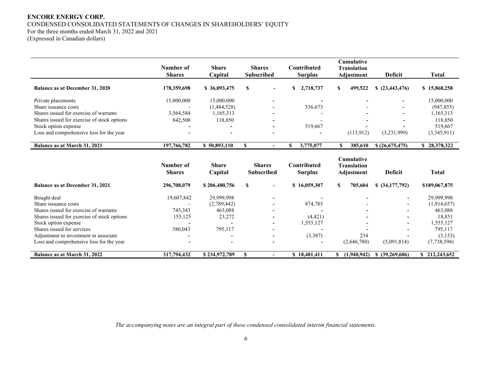## **ENCORE ENERGY CORP.** CONDENSED CONSOLIDATED STATEMENTS OF CHANGES IN SHAREHOLDERS' EQUITY For the three months ended March 31, 2022 and 2021

(Expressed in Canadian dollars)

|                                             | Number of                  | <b>Share</b>            | <b>Shares</b>                      | Contributed                   | <b>Cumulative</b>                                     |                    |               |
|---------------------------------------------|----------------------------|-------------------------|------------------------------------|-------------------------------|-------------------------------------------------------|--------------------|---------------|
|                                             | <b>Shares</b>              | Capital                 | <b>Subscribed</b>                  | <b>Surplus</b>                | <b>Translation</b><br>Adjustment                      | <b>Deficit</b>     | <b>Total</b>  |
|                                             |                            |                         |                                    |                               |                                                       |                    |               |
| Balance as at December 31, 2020             | 178,359,698                | \$36,093,475            | S                                  | \$<br>2,718,737               | 499,522<br>S.                                         | \$ (23,443,476)    | \$15,868,258  |
| Private placements                          | 15,000,000                 | 15,000,000              |                                    |                               |                                                       |                    | 15,000,000    |
| Share issuance costs                        |                            | (1,484,528)             |                                    | 536,673                       |                                                       |                    | (947, 855)    |
| Shares issued for exercise of warrants      | 3,564,584                  | 1,165,313               |                                    |                               |                                                       |                    | 1,165,313     |
| Shares issued for exercise of stock options | 842,500                    | 118,850                 |                                    |                               |                                                       |                    | 118,850       |
| Stock option expense                        |                            |                         |                                    | 519,667                       |                                                       |                    | 519,667       |
| Loss and comprehensive loss for the year    |                            |                         |                                    |                               | (113,912)                                             | (3,231,999)        | (3,345,911)   |
| Balance as at March 31, 2021                | 197,766,782                | \$50,893,110            | S<br>$\blacksquare$                | 3,775,077<br>\$.              | 385,610<br><sup>\$</sup>                              | \$(26,675,475)     | \$28,378,322  |
|                                             | Number of<br><b>Shares</b> | <b>Share</b><br>Capital | <b>Shares</b><br><b>Subscribed</b> | Contributed<br><b>Surplus</b> | <b>Cumulative</b><br><b>Translation</b><br>Adjustment | <b>Deficit</b>     | <b>Total</b>  |
| Balance as at December 31, 2021             | 296,708,079                | \$206,480,756           | $\mathbf{s}$<br>$\blacksquare$     | \$16,059,307                  | 705,604<br>S.                                         | $$$ $(34,177,792)$ | \$189,067,875 |
| Bought deal                                 | 19,607,842                 | 29,999,998              |                                    |                               |                                                       |                    | 29,999,998    |
| Share issuance costs                        |                            | (2,789,442)             |                                    | 874,785                       |                                                       |                    | (1,914,657)   |
| Shares issued for exercise of warrants      | 745,343                    | 463.088                 |                                    |                               |                                                       |                    | 463,088       |
| Shares issued for exercise of stock options | 153,125                    | 23,272                  |                                    | (4, 421)                      |                                                       |                    | 18,851        |
| Stock option expense                        |                            |                         |                                    | 1,555,127                     |                                                       |                    | 1,555,127     |
| Shares issued for services                  | 580,043                    | 795,117                 |                                    |                               |                                                       |                    | 795,117       |
| Adjustment to investment in associate       |                            |                         |                                    | (3,387)                       | 234                                                   |                    | (3, 153)      |
| Loss and comprehensive loss for the year    |                            |                         |                                    |                               | (2,646,780)                                           | (5,091,814)        | (7,738,594)   |
| Balance as at March 31, 2022                | 317,794,432                | \$234,972,789           | S                                  | \$18,481,411                  | (1,940,942)                                           | \$ (39,269,606)    | \$212,243,652 |

*The accompanying notes are an integral part of these condensed consolidated interim financial statements.*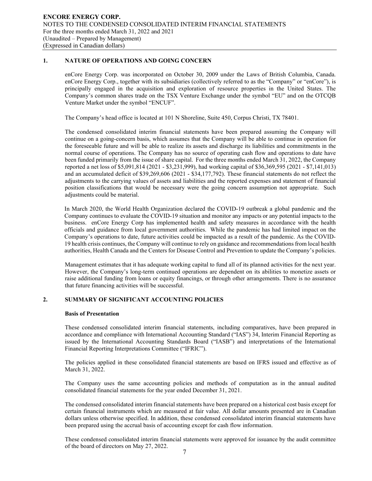## **1. NATURE OF OPERATIONS AND GOING CONCERN**

enCore Energy Corp. was incorporated on October 30, 2009 under the Laws of British Columbia, Canada. enCore Energy Corp., together with its subsidiaries (collectively referred to as the "Company" or "enCore"), is principally engaged in the acquisition and exploration of resource properties in the United States. The Company's common shares trade on the TSX Venture Exchange under the symbol "EU" and on the OTCQB Venture Market under the symbol "ENCUF".

The Company's head office is located at 101 N Shoreline, Suite 450, Corpus Christi, TX 78401.

The condensed consolidated interim financial statements have been prepared assuming the Company will continue on a going-concern basis, which assumes that the Company will be able to continue in operation for the foreseeable future and will be able to realize its assets and discharge its liabilities and commitments in the normal course of operations. The Company has no source of operating cash flow and operations to date have been funded primarily from the issue of share capital. For the three months ended March 31, 2022, the Company reported a net loss of \$5,091,814 (2021 - \$3,231,999), had working capital of \$36,369,595 (2021 - \$7,141,013) and an accumulated deficit of \$39,269,606 (2021 - \$34,177,792). These financial statements do not reflect the adjustments to the carrying values of assets and liabilities and the reported expenses and statement of financial position classifications that would be necessary were the going concern assumption not appropriate. Such adjustments could be material.

In March 2020, the World Health Organization declared the COVID-19 outbreak a global pandemic and the Company continues to evaluate the COVID-19 situation and monitor any impacts or any potential impacts to the business. enCore Energy Corp has implemented health and safety measures in accordance with the health officials and guidance from local government authorities. While the pandemic has had limited impact on the Company's operations to date, future activities could be impacted as a result of the pandemic. As the COVID-19 health crisis continues, the Company will continue to rely on guidance and recommendations from local health authorities, Health Canada and the Centers for Disease Control and Prevention to update the Company's policies.

Management estimates that it has adequate working capital to fund all of its planned activities for the next year. However, the Company's long-term continued operations are dependent on its abilities to monetize assets or raise additional funding from loans or equity financings, or through other arrangements. There is no assurance that future financing activities will be successful.

## **2. SUMMARY OF SIGNIFICANT ACCOUNTING POLICIES**

## **Basis of Presentation**

These condensed consolidated interim financial statements, including comparatives, have been prepared in accordance and compliance with International Accounting Standard ("IAS") 34, Interim Financial Reporting as issued by the International Accounting Standards Board ("IASB") and interpretations of the International Financial Reporting Interpretations Committee ("IFRIC").

The policies applied in these consolidated financial statements are based on IFRS issued and effective as of March 31, 2022.

The Company uses the same accounting policies and methods of computation as in the annual audited consolidated financial statements for the year ended December 31, 2021.

The condensed consolidated interim financial statements have been prepared on a historical cost basis except for certain financial instruments which are measured at fair value. All dollar amounts presented are in Canadian dollars unless otherwise specified. In addition, these condensed consolidated interim financial statements have been prepared using the accrual basis of accounting except for cash flow information.

These condensed consolidated interim financial statements were approved for issuance by the audit committee of the board of directors on May 27, 2022.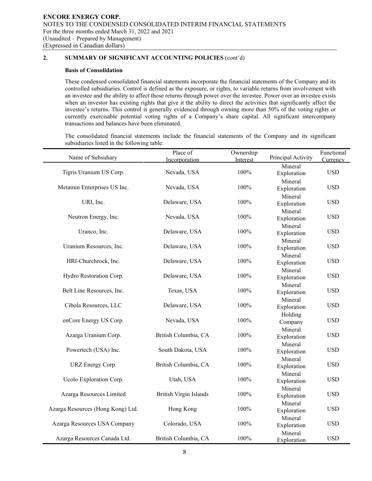## **Basis of Consolidation**

These condensed consolidated financial statements incorporate the financial statements of the Company and its controlled subsidiaries. Control is defined as the exposure, or rights, to variable returns from involvement with an investee and the ability to affect those returns through power over the investee. Power over an investee exists when an investor has existing rights that give it the ability to direct the activities that significantly affect the investee's returns. This control is generally evidenced through owning more than 50% of the voting rights or currently exercisable potential voting rights of a Company's share capital. All significant intercompany transactions and balances have been eliminated.

The consolidated financial statements include the financial statements of the Company and its significant subsidiaries listed in the following table:

|                                   | Place of                      | Ownership |                    | Functional |
|-----------------------------------|-------------------------------|-----------|--------------------|------------|
| Name of Subsidiary                | Incorporation                 | Interest  | Principal Activity | Currency   |
|                                   |                               |           | Mineral            |            |
| Tigris Uranium US Corp.           | Nevada, USA                   | 100%      | Exploration        | <b>USD</b> |
|                                   |                               |           | Mineral            |            |
| Metamin Enterprises US Inc.       | Nevada, USA                   | 100%      | Exploration        | <b>USD</b> |
|                                   |                               |           | Mineral            |            |
| URI, Inc.                         | Delaware, USA                 | 100%      | Exploration        | <b>USD</b> |
|                                   |                               |           | Mineral            |            |
| Neutron Energy, Inc.              | Nevada, USA                   | 100%      | Exploration        | <b>USD</b> |
|                                   |                               |           | Mineral            |            |
| Uranco, Inc.                      | Delaware, USA                 | 100%      | Exploration        | <b>USD</b> |
|                                   |                               |           | Mineral            |            |
| Uranium Resources, Inc.           | Delaware, USA                 | 100%      | Exploration        | <b>USD</b> |
|                                   |                               |           | Mineral            |            |
| HRI-Churchrock, Inc.              | Delaware, USA                 | 100%      | Exploration        | <b>USD</b> |
|                                   |                               |           | Mineral            |            |
| Hydro Restoration Corp.           | Delaware, USA                 | 100%      | Exploration        | <b>USD</b> |
|                                   |                               |           | Mineral            |            |
| Belt Line Resources, Inc.         | Texas, USA                    | 100%      | Exploration        | <b>USD</b> |
|                                   |                               |           | Mineral            |            |
| Cibola Resources, LLC             | Delaware, USA                 | 100%      | Exploration        | <b>USD</b> |
|                                   |                               |           |                    |            |
| enCore Energy US Corp.            | Nevada, USA                   | 100%      | Holding            | <b>USD</b> |
|                                   |                               |           | Company            |            |
| Azarga Uranium Corp.              | British Columbia, CA          | 100%      | Mineral            | <b>USD</b> |
|                                   |                               |           | Exploration        |            |
| Powertech (USA) Inc.              | South Dakota, USA             | 100%      | Mineral            | <b>USD</b> |
|                                   |                               |           | Exploration        |            |
|                                   | British Columbia, CA          | 100%      | Mineral            | <b>USD</b> |
| URZ Energy Corp.                  |                               |           | Exploration        |            |
|                                   |                               |           | Mineral            |            |
| Ucolo Exploration Corp.           | Utah, USA                     | 100%      | Exploration        | <b>USD</b> |
|                                   |                               |           | Mineral            |            |
| Azarga Resources Limited          | <b>British Virgin Islands</b> | 100%      | Exploration        | <b>USD</b> |
|                                   |                               |           | Mineral            |            |
| Azarga Resources (Hong Kong) Ltd. | Hong Kong                     | 100%      | Exploration        | <b>USD</b> |
|                                   |                               |           | Mineral            |            |
| Azarga Resources USA Company      | Colorado, USA                 | 100%      | Exploration        | <b>USD</b> |
|                                   |                               |           | Mineral            |            |
| Azarga Resources Canada Ltd.      | British Columbia, CA          | 100%      | Exploration        | <b>USD</b> |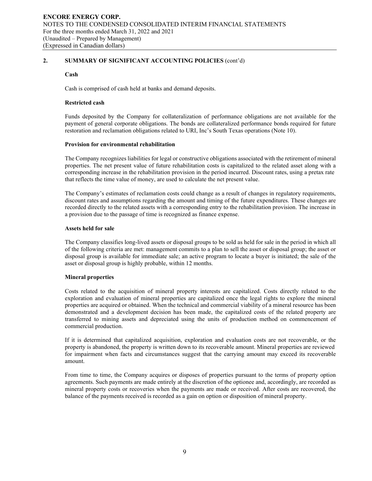### **Cash**

Cash is comprised of cash held at banks and demand deposits.

## **Restricted cash**

Funds deposited by the Company for collateralization of performance obligations are not available for the payment of general corporate obligations. The bonds are collateralized performance bonds required for future restoration and reclamation obligations related to URI, Inc's South Texas operations (Note 10).

### **Provision for environmental rehabilitation**

The Company recognizes liabilities for legal or constructive obligations associated with the retirement of mineral properties. The net present value of future rehabilitation costs is capitalized to the related asset along with a corresponding increase in the rehabilitation provision in the period incurred. Discount rates, using a pretax rate that reflects the time value of money, are used to calculate the net present value.

The Company's estimates of reclamation costs could change as a result of changes in regulatory requirements, discount rates and assumptions regarding the amount and timing of the future expenditures. These changes are recorded directly to the related assets with a corresponding entry to the rehabilitation provision. The increase in a provision due to the passage of time is recognized as finance expense.

### **Assets held for sale**

The Company classifies long-lived assets or disposal groups to be sold as held for sale in the period in which all of the following criteria are met: management commits to a plan to sell the asset or disposal group; the asset or disposal group is available for immediate sale; an active program to locate a buyer is initiated; the sale of the asset or disposal group is highly probable, within 12 months.

## **Mineral properties**

Costs related to the acquisition of mineral property interests are capitalized. Costs directly related to the exploration and evaluation of mineral properties are capitalized once the legal rights to explore the mineral properties are acquired or obtained. When the technical and commercial viability of a mineral resource has been demonstrated and a development decision has been made, the capitalized costs of the related property are transferred to mining assets and depreciated using the units of production method on commencement of commercial production.

If it is determined that capitalized acquisition, exploration and evaluation costs are not recoverable, or the property is abandoned, the property is written down to its recoverable amount. Mineral properties are reviewed for impairment when facts and circumstances suggest that the carrying amount may exceed its recoverable amount.

From time to time, the Company acquires or disposes of properties pursuant to the terms of property option agreements. Such payments are made entirely at the discretion of the optionee and, accordingly, are recorded as mineral property costs or recoveries when the payments are made or received. After costs are recovered, the balance of the payments received is recorded as a gain on option or disposition of mineral property.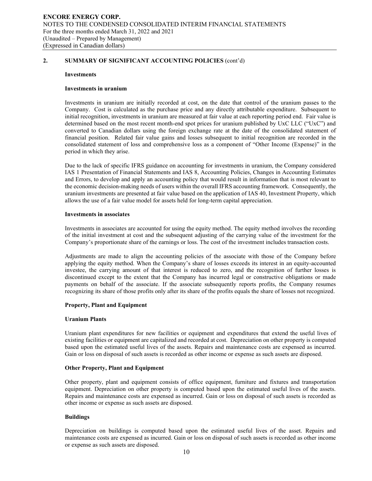#### **Investments**

### **Investments in uranium**

Investments in uranium are initially recorded at cost, on the date that control of the uranium passes to the Company. Cost is calculated as the purchase price and any directly attributable expenditure. Subsequent to initial recognition, investments in uranium are measured at fair value at each reporting period end. Fair value is determined based on the most recent month-end spot prices for uranium published by UxC LLC ("UxC") and converted to Canadian dollars using the foreign exchange rate at the date of the consolidated statement of financial position. Related fair value gains and losses subsequent to initial recognition are recorded in the consolidated statement of loss and comprehensive loss as a component of "Other Income (Expense)" in the period in which they arise.

Due to the lack of specific IFRS guidance on accounting for investments in uranium, the Company considered IAS 1 Presentation of Financial Statements and IAS 8, Accounting Policies, Changes in Accounting Estimates and Errors, to develop and apply an accounting policy that would result in information that is most relevant to the economic decision-making needs of users within the overall IFRS accounting framework. Consequently, the uranium investments are presented at fair value based on the application of IAS 40, Investment Property, which allows the use of a fair value model for assets held for long-term capital appreciation.

#### **Investments in associates**

Investments in associates are accounted for using the equity method. The equity method involves the recording of the initial investment at cost and the subsequent adjusting of the carrying value of the investment for the Company's proportionate share of the earnings or loss. The cost of the investment includes transaction costs.

Adjustments are made to align the accounting policies of the associate with those of the Company before applying the equity method. When the Company's share of losses exceeds its interest in an equity-accounted investee, the carrying amount of that interest is reduced to zero, and the recognition of further losses is discontinued except to the extent that the Company has incurred legal or constructive obligations or made payments on behalf of the associate. If the associate subsequently reports profits, the Company resumes recognizing its share of those profits only after its share of the profits equals the share of losses not recognized.

### **Property, Plant and Equipment**

### **Uranium Plants**

Uranium plant expenditures for new facilities or equipment and expenditures that extend the useful lives of existing facilities or equipment are capitalized and recorded at cost. Depreciation on other property is computed based upon the estimated useful lives of the assets. Repairs and maintenance costs are expensed as incurred. Gain or loss on disposal of such assets is recorded as other income or expense as such assets are disposed.

### **Other Property, Plant and Equipment**

Other property, plant and equipment consists of office equipment, furniture and fixtures and transportation equipment. Depreciation on other property is computed based upon the estimated useful lives of the assets. Repairs and maintenance costs are expensed as incurred. Gain or loss on disposal of such assets is recorded as other income or expense as such assets are disposed.

## **Buildings**

Depreciation on buildings is computed based upon the estimated useful lives of the asset. Repairs and maintenance costs are expensed as incurred. Gain or loss on disposal of such assets is recorded as other income or expense as such assets are disposed.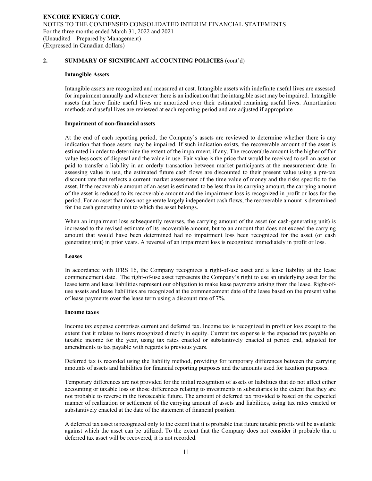#### **Intangible Assets**

Intangible assets are recognized and measured at cost. Intangible assets with indefinite useful lives are assessed for impairment annually and whenever there is an indication that the intangible asset may be impaired. Intangible assets that have finite useful lives are amortized over their estimated remaining useful lives. Amortization methods and useful lives are reviewed at each reporting period and are adjusted if appropriate

### **Impairment of non-financial assets**

At the end of each reporting period, the Company's assets are reviewed to determine whether there is any indication that those assets may be impaired. If such indication exists, the recoverable amount of the asset is estimated in order to determine the extent of the impairment, if any. The recoverable amount is the higher of fair value less costs of disposal and the value in use. Fair value is the price that would be received to sell an asset or paid to transfer a liability in an orderly transaction between market participants at the measurement date. In assessing value in use, the estimated future cash flows are discounted to their present value using a pre-tax discount rate that reflects a current market assessment of the time value of money and the risks specific to the asset. If the recoverable amount of an asset is estimated to be less than its carrying amount, the carrying amount of the asset is reduced to its recoverable amount and the impairment loss is recognized in profit or loss for the period. For an asset that does not generate largely independent cash flows, the recoverable amount is determined for the cash generating unit to which the asset belongs.

When an impairment loss subsequently reverses, the carrying amount of the asset (or cash-generating unit) is increased to the revised estimate of its recoverable amount, but to an amount that does not exceed the carrying amount that would have been determined had no impairment loss been recognized for the asset (or cash generating unit) in prior years. A reversal of an impairment loss is recognized immediately in profit or loss.

### **Leases**

In accordance with IFRS 16, the Company recognizes a right-of-use asset and a lease liability at the lease commencement date. The right-of-use asset represents the Company's right to use an underlying asset for the lease term and lease liabilities represent our obligation to make lease payments arising from the lease. Right-ofuse assets and lease liabilities are recognized at the commencement date of the lease based on the present value of lease payments over the lease term using a discount rate of 7%.

### **Income taxes**

Income tax expense comprises current and deferred tax. Income tax is recognized in profit or loss except to the extent that it relates to items recognized directly in equity. Current tax expense is the expected tax payable on taxable income for the year, using tax rates enacted or substantively enacted at period end, adjusted for amendments to tax payable with regards to previous years.

Deferred tax is recorded using the liability method, providing for temporary differences between the carrying amounts of assets and liabilities for financial reporting purposes and the amounts used for taxation purposes.

Temporary differences are not provided for the initial recognition of assets or liabilities that do not affect either accounting or taxable loss or those differences relating to investments in subsidiaries to the extent that they are not probable to reverse in the foreseeable future. The amount of deferred tax provided is based on the expected manner of realization or settlement of the carrying amount of assets and liabilities, using tax rates enacted or substantively enacted at the date of the statement of financial position.

A deferred tax asset is recognized only to the extent that it is probable that future taxable profits will be available against which the asset can be utilized. To the extent that the Company does not consider it probable that a deferred tax asset will be recovered, it is not recorded.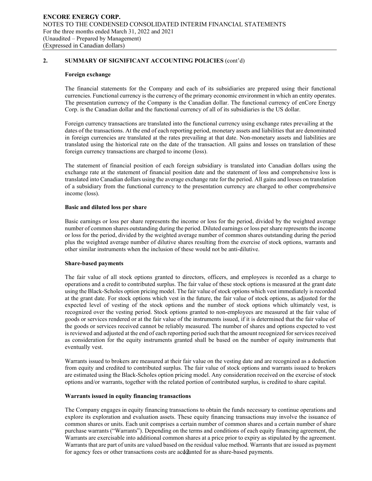### **Foreign exchange**

The financial statements for the Company and each of its subsidiaries are prepared using their functional currencies. Functional currency is the currency of the primary economic environment in which an entity operates. The presentation currency of the Company is the Canadian dollar. The functional currency of enCore Energy Corp. is the Canadian dollar and the functional currency of all of its subsidiaries is the US dollar.

Foreign currency transactions are translated into the functional currency using exchange rates prevailing at the dates of the transactions. At the end of each reporting period, monetary assets and liabilities that are denominated in foreign currencies are translated at the rates prevailing at that date. Non-monetary assets and liabilities are translated using the historical rate on the date of the transaction. All gains and losses on translation of these foreign currency transactions are charged to income (loss).

The statement of financial position of each foreign subsidiary is translated into Canadian dollars using the exchange rate at the statement of financial position date and the statement of loss and comprehensive loss is translated into Canadian dollars using the average exchange rate for the period. All gains and losses on translation of a subsidiary from the functional currency to the presentation currency are charged to other comprehensive income (loss).

### **Basic and diluted loss per share**

Basic earnings or loss per share represents the income or loss for the period, divided by the weighted average number of common shares outstanding during the period. Diluted earnings or loss per share represents the income or loss for the period, divided by the weighted average number of common shares outstanding during the period plus the weighted average number of dilutive shares resulting from the exercise of stock options, warrants and other similar instruments when the inclusion of these would not be anti-dilutive.

## **Share-based payments**

The fair value of all stock options granted to directors, officers, and employees is recorded as a charge to operations and a credit to contributed surplus. The fair value of these stock options is measured at the grant date using the Black-Scholes option pricing model. The fair value of stock options which vest immediately is recorded at the grant date. For stock options which vest in the future, the fair value of stock options, as adjusted for the expected level of vesting of the stock options and the number of stock options which ultimately vest, is recognized over the vesting period. Stock options granted to non-employees are measured at the fair value of goods or services rendered or at the fair value of the instruments issued, if it is determined that the fair value of the goods or services received cannot be reliably measured. The number of shares and options expected to vest is reviewed and adjusted at the end of each reporting period such that the amount recognized for services received as consideration for the equity instruments granted shall be based on the number of equity instruments that eventually vest.

Warrants issued to brokers are measured at their fair value on the vesting date and are recognized as a deduction from equity and credited to contributed surplus. The fair value of stock options and warrants issued to brokers are estimated using the Black-Scholes option pricing model. Any consideration received on the exercise of stock options and/or warrants, together with the related portion of contributed surplus, is credited to share capital.

### **Warrants issued in equity financing transactions**

for agency fees or other transactions costs are acd@unted for as share-based payments. The Company engages in equity financing transactions to obtain the funds necessary to continue operations and explore its exploration and evaluation assets. These equity financing transactions may involve the issuance of common shares or units. Each unit comprises a certain number of common shares and a certain number of share purchase warrants ("Warrants"). Depending on the terms and conditions of each equity financing agreement, the Warrants are exercisable into additional common shares at a price prior to expiry as stipulated by the agreement. Warrants that are part of units are valued based on the residual value method. Warrants that are issued as payment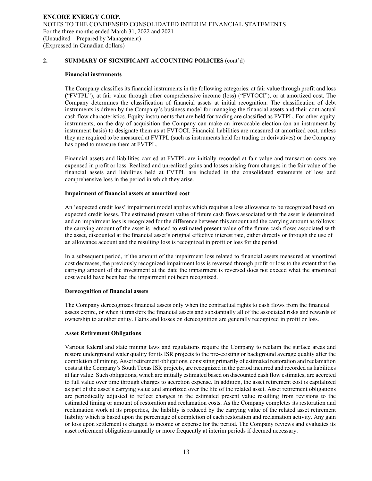### **Financial instruments**

The Company classifies its financial instruments in the following categories: at fair value through profit and loss ("FVTPL"), at fair value through other comprehensive income (loss) ("FVTOCI"), or at amortized cost. The Company determines the classification of financial assets at initial recognition. The classification of debt instruments is driven by the Company's business model for managing the financial assets and their contractual cash flow characteristics. Equity instruments that are held for trading are classified as FVTPL. For other equity instruments, on the day of acquisition the Company can make an irrevocable election (on an instrument-by instrument basis) to designate them as at FVTOCI. Financial liabilities are measured at amortized cost, unless they are required to be measured at FVTPL (such as instruments held for trading or derivatives) or the Company has opted to measure them at FVTPL.

Financial assets and liabilities carried at FVTPL are initially recorded at fair value and transaction costs are expensed in profit or loss. Realized and unrealized gains and losses arising from changes in the fair value of the financial assets and liabilities held at FVTPL are included in the consolidated statements of loss and comprehensive loss in the period in which they arise.

### **Impairment of financial assets at amortized cost**

An 'expected credit loss' impairment model applies which requires a loss allowance to be recognized based on expected credit losses. The estimated present value of future cash flows associated with the asset is determined and an impairment loss is recognized for the difference between this amount and the carrying amount as follows: the carrying amount of the asset is reduced to estimated present value of the future cash flows associated with the asset, discounted at the financial asset's original effective interest rate, either directly or through the use of an allowance account and the resulting loss is recognized in profit or loss for the period.

In a subsequent period, if the amount of the impairment loss related to financial assets measured at amortized cost decreases, the previously recognized impairment loss is reversed through profit or loss to the extent that the carrying amount of the investment at the date the impairment is reversed does not exceed what the amortized cost would have been had the impairment not been recognized.

### **Derecognition of financial assets**

The Company derecognizes financial assets only when the contractual rights to cash flows from the financial assets expire, or when it transfers the financial assets and substantially all of the associated risks and rewards of ownership to another entity. Gains and losses on derecognition are generally recognized in profit or loss.

### **Asset Retirement Obligations**

Various federal and state mining laws and regulations require the Company to reclaim the surface areas and restore underground water quality for its ISR projects to the pre-existing or background average quality after the completion of mining. Asset retirement obligations, consisting primarily of estimated restoration and reclamation costs at the Company's South Texas ISR projects, are recognized in the period incurred and recorded as liabilities at fair value. Such obligations, which are initially estimated based on discounted cash flow estimates, are accreted to full value over time through charges to accretion expense. In addition, the asset retirement cost is capitalized as part of the asset's carrying value and amortized over the life of the related asset. Asset retirement obligations are periodically adjusted to reflect changes in the estimated present value resulting from revisions to the estimated timing or amount of restoration and reclamation costs. As the Company completes its restoration and reclamation work at its properties, the liability is reduced by the carrying value of the related asset retirement liability which is based upon the percentage of completion of each restoration and reclamation activity. Any gain or loss upon settlement is charged to income or expense for the period. The Company reviews and evaluates its asset retirement obligations annually or more frequently at interim periods if deemed necessary.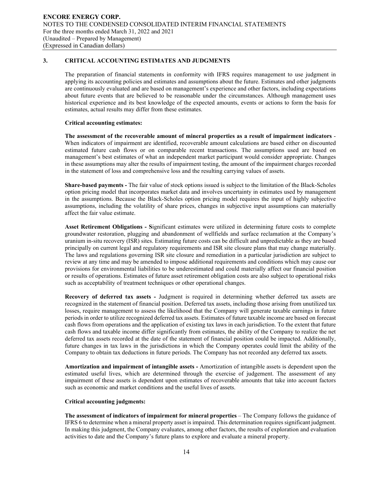## **3. CRITICAL ACCOUNTING ESTIMATES AND JUDGMENTS**

The preparation of financial statements in conformity with IFRS requires management to use judgment in applying its accounting policies and estimates and assumptions about the future. Estimates and other judgments are continuously evaluated and are based on management's experience and other factors, including expectations about future events that are believed to be reasonable under the circumstances. Although management uses historical experience and its best knowledge of the expected amounts, events or actions to form the basis for estimates, actual results may differ from these estimates.

### **Critical accounting estimates:**

**The assessment of the recoverable amount of mineral properties as a result of impairment indicators** - When indicators of impairment are identified, recoverable amount calculations are based either on discounted estimated future cash flows or on comparable recent transactions. The assumptions used are based on management's best estimates of what an independent market participant would consider appropriate. Changes in these assumptions may alter the results of impairment testing, the amount of the impairment charges recorded in the statement of loss and comprehensive loss and the resulting carrying values of assets.

**Share-based payments -** The fair value of stock options issued is subject to the limitation of the Black-Scholes option pricing model that incorporates market data and involves uncertainty in estimates used by management in the assumptions. Because the Black-Scholes option pricing model requires the input of highly subjective assumptions, including the volatility of share prices, changes in subjective input assumptions can materially affect the fair value estimate.

**Asset Retirement Obligations - S**ignificant estimates were utilized in determining future costs to complete groundwater restoration, plugging and abandonment of wellfields and surface reclamation at the Company's uranium in-situ recovery (ISR) sites. Estimating future costs can be difficult and unpredictable as they are based principally on current legal and regulatory requirements and ISR site closure plans that may change materially. The laws and regulations governing ISR site closure and remediation in a particular jurisdiction are subject to review at any time and may be amended to impose additional requirements and conditions which may cause our provisions for environmental liabilities to be underestimated and could materially affect our financial position or results of operations. Estimates of future asset retirement obligation costs are also subject to operational risks such as acceptability of treatment techniques or other operational changes.

**Recovery of deferred tax assets -** Judgment is required in determining whether deferred tax assets are recognized in the statement of financial position. Deferred tax assets, including those arising from unutilized tax losses, require management to assess the likelihood that the Company will generate taxable earnings in future periods in order to utilize recognized deferred tax assets. Estimates of future taxable income are based on forecast cash flows from operations and the application of existing tax laws in each jurisdiction. To the extent that future cash flows and taxable income differ significantly from estimates, the ability of the Company to realize the net deferred tax assets recorded at the date of the statement of financial position could be impacted. Additionally, future changes in tax laws in the jurisdictions in which the Company operates could limit the ability of the Company to obtain tax deductions in future periods. The Company has not recorded any deferred tax assets.

**Amortization and impairment of intangible assets -** Amortization of intangible assets is dependent upon the estimated useful lives, which are determined through the exercise of judgement. The assessment of any impairment of these assets is dependent upon estimates of recoverable amounts that take into account factors such as economic and market conditions and the useful lives of assets.

### **Critical accounting judgments:**

**The assessment of indicators of impairment for mineral properties** – The Company follows the guidance of IFRS 6 to determine when a mineral property asset is impaired. This determination requires significant judgment. In making this judgment, the Company evaluates, among other factors, the results of exploration and evaluation activities to date and the Company's future plans to explore and evaluate a mineral property.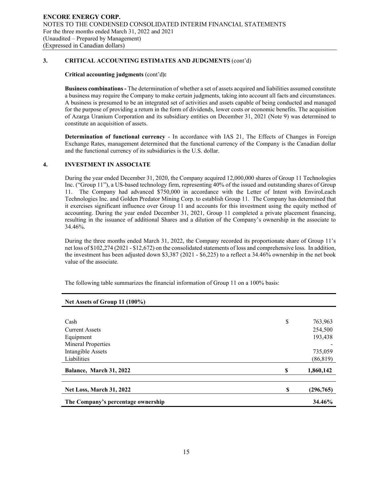## **3. CRITICAL ACCOUNTING ESTIMATES AND JUDGMENTS** (cont'd)

## **Critical accounting judgments** (cont'd**):**

**Business combinations -** The determination of whether a set of assets acquired and liabilities assumed constitute a business may require the Company to make certain judgments, taking into account all facts and circumstances. A business is presumed to be an integrated set of activities and assets capable of being conducted and managed for the purpose of providing a return in the form of dividends, lower costs or economic benefits. The acquisition of Azarga Uranium Corporation and its subsidiary entities on December 31, 2021 (Note 9) was determined to constitute an acquisition of assets.

**Determination of functional currency** - In accordance with IAS 21, The Effects of Changes in Foreign Exchange Rates, management determined that the functional currency of the Company is the Canadian dollar and the functional currency of its subsidiaries is the U.S. dollar.

## **4. INVESTMENT IN ASSOCIATE**

During the year ended December 31, 2020, the Company acquired 12,000,000 shares of Group 11 Technologies Inc. ("Group 11"), a US-based technology firm, representing 40% of the issued and outstanding shares of Group 11. The Company had advanced \$750,000 in accordance with the Letter of Intent with EnviroLeach Technologies Inc. and Golden Predator Mining Corp. to establish Group 11. The Company has determined that it exercises significant influence over Group 11 and accounts for this investment using the equity method of accounting. During the year ended December 31, 2021, Group 11 completed a private placement financing, resulting in the issuance of additional Shares and a dilution of the Company's ownership in the associate to 34.46%.

During the three months ended March 31, 2022, the Company recorded its proportionate share of Group 11's net loss of \$102,274 (2021 - \$12,672) on the consolidated statements of loss and comprehensive loss. In addition, the investment has been adjusted down \$3,387 (2021 - \$6,225) to a reflect a 34.46% ownership in the net book value of the associate.

The following table summarizes the financial information of Group 11 on a 100% basis:

| Net Assets of Group 11 (100%)      |    |            |
|------------------------------------|----|------------|
|                                    |    |            |
| Cash                               | \$ | 763,963    |
| <b>Current Assets</b>              |    | 254,500    |
| Equipment                          |    | 193,438    |
| <b>Mineral Properties</b>          |    |            |
| Intangible Assets                  |    | 735,059    |
| Liabilities                        |    | (86, 819)  |
| Balance, March 31, 2022            | S  | 1,860,142  |
| <b>Net Loss, March 31, 2022</b>    | S  | (296, 765) |
| The Company's percentage ownership |    | 34.46%     |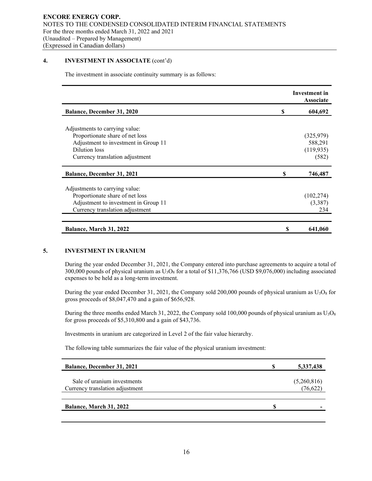## **4. INVESTMENT IN ASSOCIATE** (cont'd)

The investment in associate continuity summary is as follows:

|                                      |    | Investment in<br><b>Associate</b> |
|--------------------------------------|----|-----------------------------------|
| <b>Balance, December 31, 2020</b>    | S  | 604,692                           |
|                                      |    |                                   |
| Adjustments to carrying value:       |    |                                   |
| Proportionate share of net loss      |    | (325, 979)                        |
| Adjustment to investment in Group 11 |    | 588,291                           |
| Dilution loss                        |    | (119, 935)                        |
| Currency translation adjustment      |    | (582)                             |
| <b>Balance, December 31, 2021</b>    | S  | 746,487                           |
| Adjustments to carrying value:       |    |                                   |
| Proportionate share of net loss      |    | (102, 274)                        |
| Adjustment to investment in Group 11 |    | (3,387)                           |
| Currency translation adjustment      |    | 234                               |
| Balance, March 31, 2022              | \$ | 641,060                           |

## **5. INVESTMENT IN URANIUM**

During the year ended December 31, 2021, the Company entered into purchase agreements to acquire a total of 300,000 pounds of physical uranium as  $U_3O_8$  for a total of \$11,376,766 (USD \$9,076,000) including associated expenses to be held as a long-term investment.

During the year ended December 31, 2021, the Company sold 200,000 pounds of physical uranium as  $U_3O_8$  for gross proceeds of \$8,047,470 and a gain of \$656,928.

During the three months ended March 31, 2022, the Company sold 100,000 pounds of physical uranium as  $U_3O_8$ for gross proceeds of \$5,310,800 and a gain of \$43,736.

Investments in uranium are categorized in Level 2 of the fair value hierarchy.

The following table summarizes the fair value of the physical uranium investment:

| <b>Balance, December 31, 2021</b> | 5,337,438   |
|-----------------------------------|-------------|
|                                   |             |
| Sale of uranium investments       | (5,260,816) |
| Currency translation adjustment   | (76, 622)   |
|                                   |             |
| Balance, March 31, 2022           | \$          |
|                                   |             |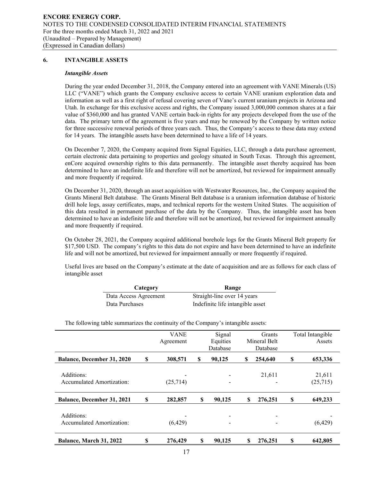## **6. INTANGIBLE ASSETS**

#### *Intangible Assets*

During the year ended December 31, 2018, the Company entered into an agreement with VANE Minerals (US) LLC ("VANE") which grants the Company exclusive access to certain VANE uranium exploration data and information as well as a first right of refusal covering seven of Vane's current uranium projects in Arizona and Utah. In exchange for this exclusive access and rights, the Company issued 3,000,000 common shares at a fair value of \$360,000 and has granted VANE certain back-in rights for any projects developed from the use of the data. The primary term of the agreement is five years and may be renewed by the Company by written notice for three successive renewal periods of three years each. Thus, the Company's access to these data may extend for 14 years. The intangible assets have been determined to have a life of 14 years.

On December 7, 2020, the Company acquired from Signal Equities, LLC, through a data purchase agreement, certain electronic data pertaining to properties and geology situated in South Texas. Through this agreement, enCore acquired ownership rights to this data permanently. The intangible asset thereby acquired has been determined to have an indefinite life and therefore will not be amortized, but reviewed for impairment annually and more frequently if required.

On December 31, 2020, through an asset acquisition with Westwater Resources, Inc., the Company acquired the Grants Mineral Belt database. The Grants Mineral Belt database is a uranium information database of historic drill hole logs, assay certificates, maps, and technical reports for the western United States. The acquisition of this data resulted in permanent purchase of the data by the Company. Thus, the intangible asset has been determined to have an indefinite life and therefore will not be amortized, but reviewed for impairment annually and more frequently if required.

On October 28, 2021, the Company acquired additional borehole logs for the Grants Mineral Belt property for \$17,500 USD. The company's rights to this data do not expire and have been determined to have an indefinite life and will not be amortized, but reviewed for impairment annually or more frequently if required.

Useful lives are based on the Company's estimate at the date of acquisition and are as follows for each class of intangible asset

| Category              | Range                            |
|-----------------------|----------------------------------|
| Data Access Agreement | Straight-line over 14 years      |
| Data Purchases        | Indefinite life intangible asset |

The following table summarizes the continuity of the Company's intangible assets:

|                                                |    | <b>VANE</b><br>Agreement |          | Signal<br>Equities<br>Database |   | Grants<br>Mineral Belt<br>Database |    | Total Intangible<br>Assets |
|------------------------------------------------|----|--------------------------|----------|--------------------------------|---|------------------------------------|----|----------------------------|
| <b>Balance, December 31, 2020</b>              | S  | 308,571                  | <b>S</b> | 90.125                         | S | 254,640                            | \$ | 653,336                    |
| Additions:<br><b>Accumulated Amortization:</b> |    | (25,714)                 |          |                                |   | 21,611                             |    | 21,611<br>(25,715)         |
| <b>Balance, December 31, 2021</b>              | S  | 282,857                  | \$       | 90,125                         | S | 276,251                            | S  | 649,233                    |
| Additions:<br>Accumulated Amortization:        |    | (6,429)                  |          |                                |   |                                    |    | (6,429)                    |
| Balance, March 31, 2022                        | \$ | 276,429                  | \$       | 90,125                         | S | 276,251                            | \$ | 642,805                    |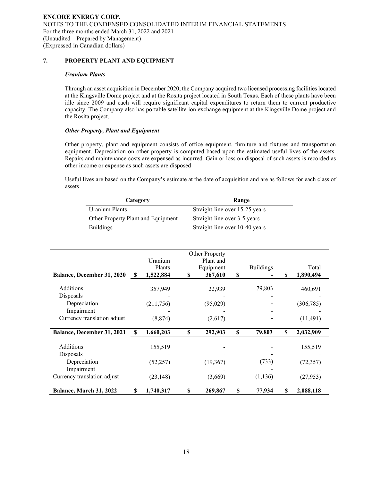## **7. PROPERTY PLANT AND EQUIPMENT**

### *Uranium Plants*

Through an asset acquisition in December 2020, the Company acquired two licensed processing facilities located at the Kingsville Dome project and at the Rosita project located in South Texas. Each of these plants have been idle since 2009 and each will require significant capital expenditures to return them to current productive capacity. The Company also has portable satellite ion exchange equipment at the Kingsville Dome project and the Rosita project.

## *Other Property, Plant and Equipment*

Other property, plant and equipment consists of office equipment, furniture and fixtures and transportation equipment. Depreciation on other property is computed based upon the estimated useful lives of the assets. Repairs and maintenance costs are expensed as incurred. Gain or loss on disposal of such assets is recorded as other income or expense as such assets are disposed

Useful lives are based on the Company's estimate at the date of acquisition and are as follows for each class of assets

| Category                           | Range                          |
|------------------------------------|--------------------------------|
| Uranium Plants                     | Straight-line over 15-25 years |
| Other Property Plant and Equipment | Straight-line over 3-5 years   |
| <b>Buildings</b>                   | Straight-line over 10-40 years |

|                             |                           |            | Other Property |                  |    |            |
|-----------------------------|---------------------------|------------|----------------|------------------|----|------------|
|                             |                           | Uranium    | Plant and      |                  |    |            |
|                             |                           | Plants     | Equipment      | <b>Buildings</b> |    | Total      |
| Balance, December 31, 2020  | $\boldsymbol{\mathsf{s}}$ | 1,522,884  | \$<br>367,610  | \$               | \$ | 1,890,494  |
|                             |                           |            |                |                  |    |            |
| Additions                   |                           | 357,949    | 22,939         | 79,803           |    | 460,691    |
| Disposals                   |                           |            |                |                  |    |            |
| Depreciation                |                           | (211, 756) | (95, 029)      |                  |    | (306, 785) |
| Impairment                  |                           |            |                |                  |    |            |
| Currency translation adjust |                           | (8, 874)   | (2,617)        |                  |    | (11, 491)  |
|                             |                           |            |                |                  |    |            |
| Balance, December 31, 2021  | S                         | 1,660,203  | \$<br>292,903  | \$<br>79,803     | S  | 2,032,909  |
|                             |                           |            |                |                  |    |            |
| Additions                   |                           | 155,519    |                |                  |    | 155,519    |
| Disposals                   |                           |            |                |                  |    |            |
| Depreciation                |                           | (52, 257)  | (19, 367)      | (733)            |    | (72, 357)  |
| Impairment                  |                           |            |                |                  |    |            |
| Currency translation adjust |                           | (23, 148)  | (3,669)        | (1, 136)         |    | (27, 953)  |
|                             |                           |            |                |                  |    |            |
| Balance, March 31, 2022     | \$                        | 1,740,317  | \$<br>269,867  | \$<br>77,934     | \$ | 2,088,118  |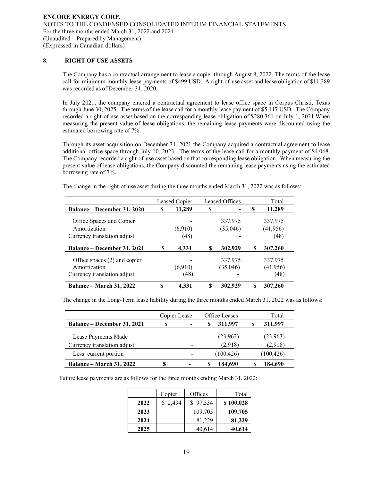## **8. RIGHT OF USE ASSETS**

The Company has a contractual arrangement to lease a copier through August 8, 2022. The terms of the lease call for minimum monthly lease payments of \$499 USD. A right-of-use asset and lease obligation of \$11,289 was recorded as of December 31, 2020.

In July 2021, the company entered a contractual agreement to lease office space in Corpus Christi, Texas through June 30, 2025. The terms of the lease call for a monthly lease payment of \$5,417 USD. The Company recorded a right-of use asset based on the corresponding lease obligation of \$280,361 on July 1, 2021.When measuring the present value of lease obligations, the remaining lease payments were discounted using the estimated borrowing rate of 7%.

Through its asset acquisition on December 31, 2021 the Company acquired a contractual agreement to lease additional office space through July 10, 2023. The terms of the lease call for a monthly payment of \$4,068. The Company recorded a right-of-use asset based on that corresponding lease obligation. When measuring the present value of lease obligations, the Company discounted the remaining lease payments using the estimated borrowing rate of 7%.

The change in the right-of-use asset during the three months ended March 31, 2022 was as follows:

|                                          |    | Leased Copier |   | Leased Offices      |   | Total                |
|------------------------------------------|----|---------------|---|---------------------|---|----------------------|
| <b>Balance – December 31, 2020</b>       | S  | 11,289        | S |                     | S | 11,289               |
| Office Spaces and Copier<br>Amortization |    | (6,910)       |   | 337,975<br>(35,046) |   | 337,975<br>(41, 956) |
| Currency translation adjust              |    | (48)          |   |                     |   | (48)                 |
| <b>Balance – December 31, 2021</b>       | \$ | 4.331         | S | 302,929             | S | 307,260              |
| Office spaces $(2)$ and copier           |    |               |   | 337,975             |   | 337,975              |
| Amortization                             |    | (6,910)       |   | (35,046)            |   | (41, 956)            |
| Currency translation adjust              |    | (48)          |   |                     |   | (48)                 |
| <b>Balance – March 31, 2022</b>          | \$ | 4.331         |   | 302,929             | S | 307,260              |

The change in the Long-Term lease liability during the three months ended March 31, 2022 was as follows:

|                                                    | Copier Lease |                          | Office Leases       | Total               |
|----------------------------------------------------|--------------|--------------------------|---------------------|---------------------|
| <b>Balance – December 31, 2021</b>                 | S            |                          | 311,997             | 311,997             |
| Lease Payments Made<br>Currency translation adjust |              | $\overline{\phantom{0}}$ | (23,963)<br>(2,918) | (23,963)<br>(2.918) |
| Less: current portion                              |              | $\overline{\phantom{0}}$ | (100, 426)          | (100, 426)          |
| <b>Balance – March 31, 2022</b>                    | S            |                          | 184.690             | 184,690             |

Future lease payments are as follows for the three months ending March 31, 2022:

|      | Copier  | Offices  | Total     |
|------|---------|----------|-----------|
| 2022 | \$2,494 | \$97,534 | \$100,028 |
| 2023 |         | 109,705  | 109,705   |
| 2024 |         | 81,229   | 81,229    |
| 2025 |         | 40,614   | 40,614    |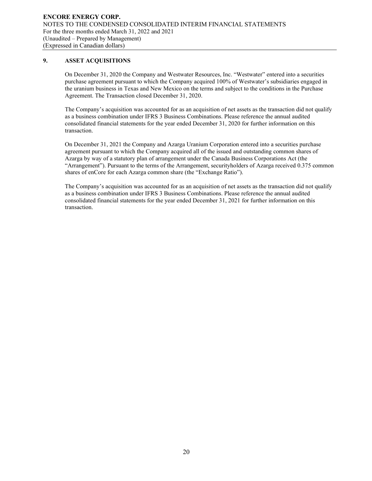## **9. ASSET ACQUISITIONS**

On December 31, 2020 the Company and Westwater Resources, Inc. "Westwater" entered into a securities purchase agreement pursuant to which the Company acquired 100% of Westwater's subsidiaries engaged in the uranium business in Texas and New Mexico on the terms and subject to the conditions in the Purchase Agreement. The Transaction closed December 31, 2020.

The Company's acquisition was accounted for as an acquisition of net assets as the transaction did not qualify as a business combination under IFRS 3 Business Combinations. Please reference the annual audited consolidated financial statements for the year ended December 31, 2020 for further information on this transaction.

On December 31, 2021 the Company and Azarga Uranium Corporation entered into a securities purchase agreement pursuant to which the Company acquired all of the issued and outstanding common shares of Azarga by way of a statutory plan of arrangement under the Canada Business Corporations Act (the "Arrangement"). Pursuant to the terms of the Arrangement, securityholders of Azarga received 0.375 common shares of enCore for each Azarga common share (the "Exchange Ratio").

The Company's acquisition was accounted for as an acquisition of net assets as the transaction did not qualify as a business combination under IFRS 3 Business Combinations. Please reference the annual audited consolidated financial statements for the year ended December 31, 2021 for further information on this transaction.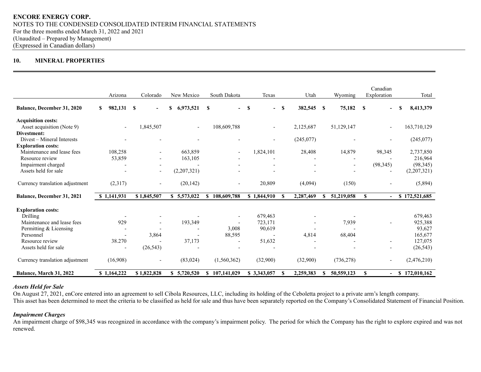## **10. MINERAL PROPERTIES**

|                                   | Arizona                  | Colorado                 | New Mexico               | South Dakota                         | Texas                         | Utah                  | Wyoming                | Canadian<br>Exploration        | Total         |
|-----------------------------------|--------------------------|--------------------------|--------------------------|--------------------------------------|-------------------------------|-----------------------|------------------------|--------------------------------|---------------|
| Balance, December 31, 2020        | 982,131<br>S.            | \$<br>$\blacksquare$     | \$<br>6,973,521          | <b>S</b><br>$\overline{\phantom{0}}$ | S<br>$\overline{\phantom{0}}$ | S<br>382,545          | 75,182<br><b>S</b>     | <b>S</b>                       | 8,413,379     |
| <b>Acquisition costs:</b>         |                          |                          |                          |                                      |                               |                       |                        |                                |               |
| Asset acquisition (Note 9)        | $\overline{\phantom{a}}$ | 1,845,507                | $\overline{\phantom{a}}$ | 108,609,788                          | $\overline{a}$                | 2,125,687             | 51,129,147             | $\overline{\phantom{a}}$       | 163,710,129   |
| Divestment:                       |                          |                          |                          |                                      |                               |                       |                        |                                |               |
| Divest – Mineral Interests        |                          |                          |                          |                                      | $\overline{\phantom{a}}$      | (245,077)             |                        | $\overline{\phantom{a}}$       | (245,077)     |
| <b>Exploration costs:</b>         |                          |                          |                          |                                      |                               |                       |                        |                                |               |
| Maintenance and lease fees        | 108,258                  |                          | 663,859                  | $\overline{\phantom{a}}$             | 1,824,101                     | 28,408                | 14,879                 | 98,345                         | 2,737,850     |
| Resource review                   | 53,859                   |                          | 163,105                  |                                      |                               |                       |                        |                                | 216,964       |
| Impairment charged                |                          |                          |                          |                                      |                               |                       |                        | (98, 345)                      | (98, 345)     |
| Assets held for sale              |                          | $\overline{\phantom{a}}$ | (2,207,321)              |                                      |                               |                       |                        |                                | (2,207,321)   |
| Currency translation adjustment   | (2,317)                  |                          | (20, 142)                |                                      | 20,809                        | (4,094)               | (150)                  |                                | (5,894)       |
| <b>Balance, December 31, 2021</b> | \$1,141,931              | \$1,845,507              | \$5,573,022              | 108,609,788<br>S                     | \$1,844,910                   | 2,287,469<br>-8       | 51,219,058<br>S        | S<br>$\blacksquare$            | \$172,521,685 |
| <b>Exploration costs:</b>         |                          |                          |                          |                                      |                               |                       |                        |                                |               |
| Drilling                          |                          |                          |                          |                                      | 679,463                       |                       |                        |                                | 679,463       |
| Maintenance and lease fees        | 929                      |                          | 193,349                  |                                      | 723,171                       |                       | 7,939                  |                                | 925,388       |
| Permitting & Licensing            |                          |                          | ٠                        | 3,008                                | 90,619                        |                       | $\overline{a}$         |                                | 93,627        |
| Personnel                         | $\overline{\phantom{a}}$ | 3,864                    | $\overline{\phantom{a}}$ | 88,595                               |                               | 4,814                 | 68,404                 |                                | 165,677       |
| Resource review                   | 38.270                   |                          | 37,173                   |                                      | 51,632                        |                       |                        |                                | 127,075       |
| Assets held for sale              | $\overline{\phantom{a}}$ | (26, 543)                |                          |                                      |                               |                       |                        |                                | (26, 543)     |
| Currency translation adjustment   | (16,908)                 |                          | (83, 024)                | (1,560,362)                          | (32,900)                      | (32,900)              | (736, 278)             |                                | (2,476,210)   |
| Balance, March 31, 2022           | \$1,164,222              | \$1,822,828              | \$5,720,520              | 107,141,029<br>\$                    | \$3,343,057                   | 2,259,383<br><b>S</b> | 50,559,123<br><b>S</b> | $\mathbf{s}$<br>$\blacksquare$ | \$172,010,162 |

## *Assets Held for Sale*

On August 27, 2021, enCore entered into an agreement to sell Cibola Resources, LLC, including its holding of the Ceboletta project to a private arm's length company. This asset has been determined to meet the criteria to be classified as held for sale and thus have been separately reported on the Company's Consolidated Statement of Financial Position.

## *Impairment Charges*

An impairment charge of \$98,345 was recognized in accordance with the company's impairment policy. The period for which the Company has the right to explore expired and was not renewed.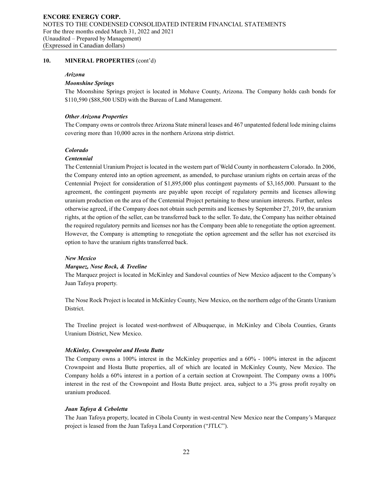#### *Arizona*

## *Moonshine Springs*

The Moonshine Springs project is located in Mohave County, Arizona. The Company holds cash bonds for \$110,590 (\$88,500 USD) with the Bureau of Land Management.

#### *Other Arizona Properties*

The Company owns or controls three Arizona State mineral leases and 467 unpatented federal lode mining claims covering more than 10,000 acres in the northern Arizona strip district.

#### *Colorado*

#### *Centennial*

The Centennial Uranium Project is located in the western part of Weld County in northeastern Colorado. In 2006, the Company entered into an option agreement, as amended, to purchase uranium rights on certain areas of the Centennial Project for consideration of \$1,895,000 plus contingent payments of \$3,165,000. Pursuant to the agreement, the contingent payments are payable upon receipt of regulatory permits and licenses allowing uranium production on the area of the Centennial Project pertaining to these uranium interests. Further, unless otherwise agreed, if the Company does not obtain such permits and licenses by September 27, 2019, the uranium rights, at the option of the seller, can be transferred back to the seller. To date, the Company has neither obtained the required regulatory permits and licenses nor has the Company been able to renegotiate the option agreement. However, the Company is attempting to renegotiate the option agreement and the seller has not exercised its option to have the uranium rights transferred back.

#### *New Mexico*

#### *Marquez, Nose Rock, & Treeline*

The Marquez project is located in McKinley and Sandoval counties of New Mexico adjacent to the Company's Juan Tafoya property.

The Nose Rock Project is located in McKinley County, New Mexico, on the northern edge of the Grants Uranium District.

The Treeline project is located west-northwest of Albuquerque, in McKinley and Cibola Counties, Grants Uranium District, New Mexico.

#### *McKinley, Crownpoint and Hosta Butte*

The Company owns a 100% interest in the McKinley properties and a 60% - 100% interest in the adjacent Crownpoint and Hosta Butte properties, all of which are located in McKinley County, New Mexico. The Company holds a 60% interest in a portion of a certain section at Crownpoint. The Company owns a 100% interest in the rest of the Crownpoint and Hosta Butte project. area, subject to a 3% gross profit royalty on uranium produced.

### *Juan Tafoya & Ceboletta*

The Juan Tafoya property, located in Cibola County in west-central New Mexico near the Company's Marquez project is leased from the Juan Tafoya Land Corporation ("JTLC").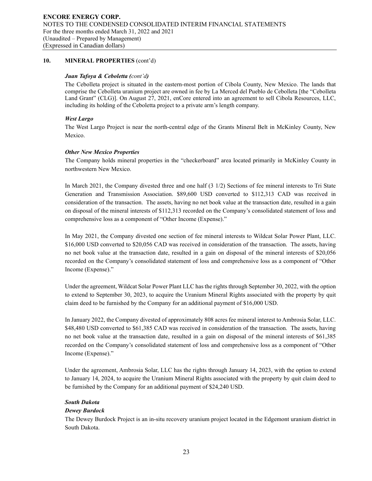### *Juan Tafoya & Ceboletta (cont'd)*

The Cebolleta project is situated in the eastern-most portion of Cibola County, New Mexico. The lands that comprise the Cebolleta uranium project are owned in fee by La Merced del Pueblo de Cebolleta [the "Cebolleta Land Grant" (CLG)]. On August 27, 2021, enCore entered into an agreement to sell Cibola Resources, LLC, including its holding of the Ceboletta project to a private arm's length company.

## *West Largo*

The West Largo Project is near the north-central edge of the Grants Mineral Belt in McKinley County, New Mexico.

## *Other New Mexico Properties*

The Company holds mineral properties in the "checkerboard" area located primarily in McKinley County in northwestern New Mexico.

In March 2021, the Company divested three and one half (3 1/2) Sections of fee mineral interests to Tri State Generation and Transmission Association. \$89,600 USD converted to \$112,313 CAD was received in consideration of the transaction. The assets, having no net book value at the transaction date, resulted in a gain on disposal of the mineral interests of \$112,313 recorded on the Company's consolidated statement of loss and comprehensive loss as a component of "Other Income (Expense)."

In May 2021, the Company divested one section of fee mineral interests to Wildcat Solar Power Plant, LLC. \$16,000 USD converted to \$20,056 CAD was received in consideration of the transaction. The assets, having no net book value at the transaction date, resulted in a gain on disposal of the mineral interests of \$20,056 recorded on the Company's consolidated statement of loss and comprehensive loss as a component of "Other Income (Expense)."

Under the agreement, Wildcat Solar Power Plant LLC has the rights through September 30, 2022, with the option to extend to September 30, 2023, to acquire the Uranium Mineral Rights associated with the property by quit claim deed to be furnished by the Company for an additional payment of \$16,000 USD.

In January 2022, the Company divested of approximately 808 acres fee mineral interest to Ambrosia Solar, LLC. \$48,480 USD converted to \$61,385 CAD was received in consideration of the transaction. The assets, having no net book value at the transaction date, resulted in a gain on disposal of the mineral interests of \$61,385 recorded on the Company's consolidated statement of loss and comprehensive loss as a component of "Other Income (Expense)."

Under the agreement, Ambrosia Solar, LLC has the rights through January 14, 2023, with the option to extend to January 14, 2024, to acquire the Uranium Mineral Rights associated with the property by quit claim deed to be furnished by the Company for an additional payment of \$24,240 USD.

## *South Dakota*

## *Dewey Burdock*

The Dewey Burdock Project is an in-situ recovery uranium project located in the Edgemont uranium district in South Dakota.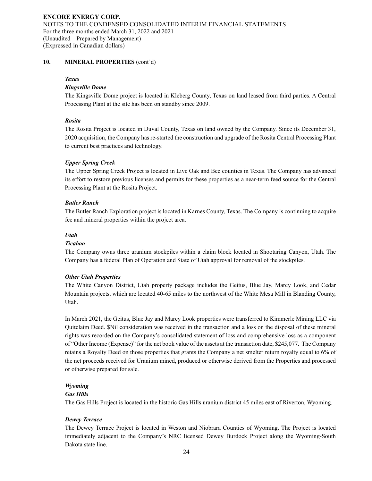### *Texas*

## *Kingsville Dome*

The Kingsville Dome project is located in Kleberg County, Texas on land leased from third parties. A Central Processing Plant at the site has been on standby since 2009.

## *Rosita*

The Rosita Project is located in Duval County, Texas on land owned by the Company. Since its December 31, 2020 acquisition, the Company has re-started the construction and upgrade of the Rosita Central Processing Plant to current best practices and technology.

## *Upper Spring Creek*

The Upper Spring Creek Project is located in Live Oak and Bee counties in Texas. The Company has advanced its effort to restore previous licenses and permits for these properties as a near-term feed source for the Central Processing Plant at the Rosita Project.

## *Butler Ranch*

The Butler Ranch Exploration project is located in Karnes County, Texas. The Company is continuing to acquire fee and mineral properties within the project area.

## *Utah*

## *Ticaboo*

The Company owns three uranium stockpiles within a claim block located in Shootaring Canyon, Utah. The Company has a federal Plan of Operation and State of Utah approval for removal of the stockpiles.

## *Other Utah Properties*

The White Canyon District, Utah property package includes the Geitus, Blue Jay, Marcy Look, and Cedar Mountain projects, which are located 40-65 miles to the northwest of the White Mesa Mill in Blanding County, Utah.

In March 2021, the Geitus, Blue Jay and Marcy Look properties were transferred to Kimmerle Mining LLC via Quitclaim Deed. \$Nil consideration was received in the transaction and a loss on the disposal of these mineral rights was recorded on the Company's consolidated statement of loss and comprehensive loss as a component of "Other Income (Expense)" for the net book value of the assets at the transaction date, \$245,077. The Company retains a Royalty Deed on those properties that grants the Company a net smelter return royalty equal to 6% of the net proceeds received for Uranium mined, produced or otherwise derived from the Properties and processed or otherwise prepared for sale.

## *Wyoming*

### *Gas Hills*

The Gas Hills Project is located in the historic Gas Hills uranium district 45 miles east of Riverton, Wyoming.

## *Dewey Terrace*

The Dewey Terrace Project is located in Weston and Niobrara Counties of Wyoming. The Project is located immediately adjacent to the Company's NRC licensed Dewey Burdock Project along the Wyoming-South Dakota state line.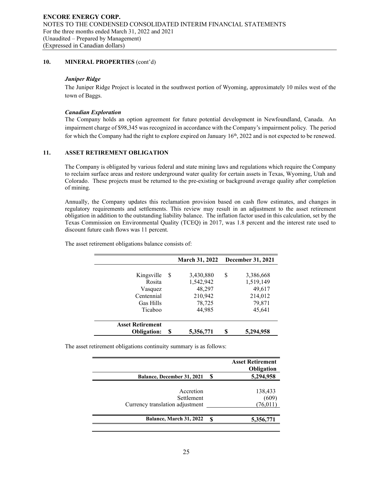### *Juniper Ridge*

The Juniper Ridge Project is located in the southwest portion of Wyoming, approximately 10 miles west of the town of Baggs.

#### *Canadian Exploration*

The Company holds an option agreement for future potential development in Newfoundland, Canada. An impairment charge of \$98,345 was recognized in accordance with the Company's impairment policy. The period for which the Company had the right to explore expired on January  $16<sup>th</sup>$ , 2022 and is not expected to be renewed.

### **11. ASSET RETIREMENT OBLIGATION**

The Company is obligated by various federal and state mining laws and regulations which require the Company to reclaim surface areas and restore underground water quality for certain assets in Texas, Wyoming, Utah and Colorado. These projects must be returned to the pre-existing or background average quality after completion of mining.

Annually, the Company updates this reclamation provision based on cash flow estimates, and changes in regulatory requirements and settlements. This review may result in an adjustment to the asset retirement obligation in addition to the outstanding liability balance. The inflation factor used in this calculation, set by the Texas Commission on Environmental Quality (TCEQ) in 2017, was 1.8 percent and the interest rate used to discount future cash flows was 11 percent.

|                         |    | <b>March 31, 2022</b> |    | <b>December 31, 2021</b> |
|-------------------------|----|-----------------------|----|--------------------------|
| Kingsville              | -S | 3,430,880             | S  | 3,386,668                |
| Rosita                  |    | 1,542,942             |    | 1,519,149                |
| Vasquez                 |    | 48.297                |    | 49,617                   |
| Centennial              |    | 210,942               |    | 214,012                  |
| Gas Hills               |    | 78,725                |    | 79,871                   |
| Ticaboo                 |    | 44.985                |    | 45,641                   |
| <b>Asset Retirement</b> |    |                       |    |                          |
| <b>Obligation:</b>      | S  | 5,356,771             | \$ | 5,294,958                |

The asset retirement obligations balance consists of:

The asset retirement obligations continuity summary is as follows:

|                                   |   | <b>Asset Retirement</b><br>Obligation |
|-----------------------------------|---|---------------------------------------|
| <b>Balance, December 31, 2021</b> | S | 5,294,958                             |
| Accretion<br>Settlement           |   | 138,433<br>(609)                      |
| Currency translation adjustment   |   | (76, 011)                             |
| Balance, March 31, 2022           | S | 5,356,771                             |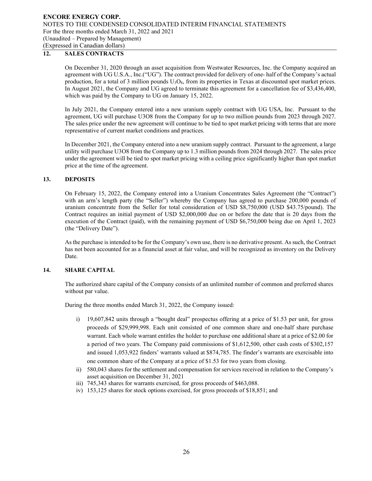## **12. SALES CONTRACTS**

On December 31, 2020 through an asset acquisition from Westwater Resources, Inc. the Company acquired an agreement with UG U.S.A., Inc.("UG"). The contract provided for delivery of one- half of the Company's actual production, for a total of 3 million pounds  $U_3O_8$ , from its properties in Texas at discounted spot market prices. In August 2021, the Company and UG agreed to terminate this agreement for a cancellation fee of \$3,436,400, which was paid by the Company to UG on January 15, 2022.

In July 2021, the Company entered into a new uranium supply contract with UG USA, Inc. Pursuant to the agreement, UG will purchase U3O8 from the Company for up to two million pounds from 2023 through 2027. The sales price under the new agreement will continue to be tied to spot market pricing with terms that are more representative of current market conditions and practices.

In December 2021, the Company entered into a new uranium supply contract. Pursuant to the agreement, a large utility will purchase U3O8 from the Company up to 1.3 million pounds from 2024 through 2027. The sales price under the agreement will be tied to spot market pricing with a ceiling price significantly higher than spot market price at the time of the agreement.

### **13. DEPOSITS**

On February 15, 2022, the Company entered into a Uranium Concentrates Sales Agreement (the "Contract") with an arm's length party (the "Seller") whereby the Company has agreed to purchase 200,000 pounds of uranium concentrate from the Seller for total consideration of USD \$8,750,000 (USD \$43.75/pound). The Contract requires an initial payment of USD \$2,000,000 due on or before the date that is 20 days from the execution of the Contract (paid), with the remaining payment of USD \$6,750,000 being due on April 1, 2023 (the "Delivery Date").

As the purchase is intended to be for the Company's own use, there is no derivative present. As such, the Contract has not been accounted for as a financial asset at fair value, and will be recognized as inventory on the Delivery Date.

## **14. SHARE CAPITAL**

The authorized share capital of the Company consists of an unlimited number of common and preferred shares without par value.

During the three months ended March 31, 2022, the Company issued:

- i) 19,607,842 units through a "bought deal" prospectus offering at a price of \$1.53 per unit, for gross proceeds of \$29,999,998. Each unit consisted of one common share and one-half share purchase warrant. Each whole warrant entitles the holder to purchase one additional share at a price of \$2.00 for a period of two years. The Company paid commissions of \$1,612,500, other cash costs of \$302,157 and issued 1,053,922 finders' warrants valued at \$874,785. The finder's warrants are exercisable into one common share of the Company at a price of \$1.53 for two years from closing.
- ii) 580,043 shares for the settlement and compensation for services received in relation to the Company's asset acquisition on December 31, 2021
- iii) 745,343 shares for warrants exercised, for gross proceeds of \$463,088.
- iv) 153,125 shares for stock options exercised, for gross proceeds of \$18,851; and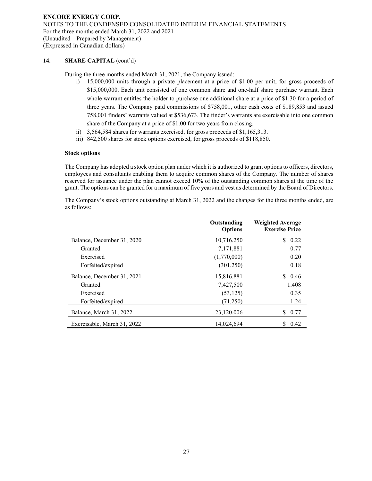## **14. SHARE CAPITAL** (cont'd)

During the three months ended March 31, 2021, the Company issued:

- i) 15,000,000 units through a private placement at a price of \$1.00 per unit, for gross proceeds of \$15,000,000. Each unit consisted of one common share and one-half share purchase warrant. Each whole warrant entitles the holder to purchase one additional share at a price of \$1.30 for a period of three years. The Company paid commissions of \$758,001, other cash costs of \$189,853 and issued 758,001 finders' warrants valued at \$536,673. The finder's warrants are exercisable into one common share of the Company at a price of \$1.00 for two years from closing.
- ii) 3,564,584 shares for warrants exercised, for gross proceeds of \$1,165,313.
- iii) 842,500 shares for stock options exercised, for gross proceeds of \$118,850.

#### **Stock options**

The Company has adopted a stock option plan under which it is authorized to grant options to officers, directors, employees and consultants enabling them to acquire common shares of the Company. The number of shares reserved for issuance under the plan cannot exceed 10% of the outstanding common shares at the time of the grant. The options can be granted for a maximum of five years and vest as determined by the Board of Directors.

The Company's stock options outstanding at March 31, 2022 and the changes for the three months ended, are as follows:

|                             | Outstanding<br><b>Options</b> | <b>Weighted Average</b><br><b>Exercise Price</b> |
|-----------------------------|-------------------------------|--------------------------------------------------|
| Balance, December 31, 2020  | 10,716,250                    | S.<br>0.22                                       |
| Granted                     | 7,171,881                     | 0.77                                             |
| Exercised                   | (1,770,000)                   | 0.20                                             |
| Forfeited/expired           | (301, 250)                    | 0.18                                             |
| Balance, December 31, 2021  | 15,816,881                    | \$0.46                                           |
| Granted                     | 7.427.500                     | 1.408                                            |
| Exercised                   | (53, 125)                     | 0.35                                             |
| Forfeited/expired           | (71,250)                      | 1.24                                             |
| Balance, March 31, 2022     | 23,120,006                    | 0.77<br>S.                                       |
| Exercisable, March 31, 2022 | 14,024,694                    | 0.42<br>S.                                       |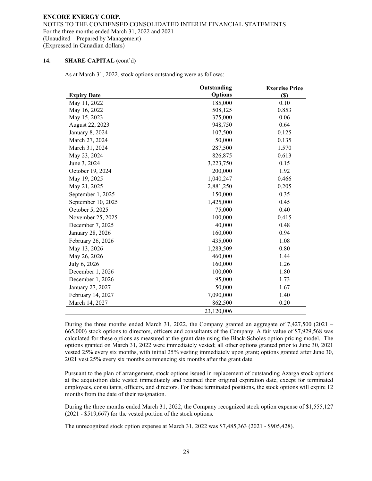## **14. SHARE CAPITAL (**cont'd**)**

As at March 31, 2022, stock options outstanding were as follows:

|                    | Outstanding    | <b>Exercise Price</b> |
|--------------------|----------------|-----------------------|
| <b>Expiry Date</b> | <b>Options</b> | $(\$)$                |
| May 11, 2022       | 185,000        | 0.10                  |
| May 16, 2022       | 508,125        | 0.853                 |
| May 15, 2023       | 375,000        | 0.06                  |
| August 22, 2023    | 948,750        | 0.64                  |
| January 8, 2024    | 107,500        | 0.125                 |
| March 27, 2024     | 50,000         | 0.135                 |
| March 31, 2024     | 287,500        | 1.570                 |
| May 23, 2024       | 826,875        | 0.613                 |
| June 3, 2024       | 3,223,750      | 0.15                  |
| October 19, 2024   | 200,000        | 1.92                  |
| May 19, 2025       | 1,040,247      | 0.466                 |
| May 21, 2025       | 2,881,250      | 0.205                 |
| September 1, 2025  | 150,000        | 0.35                  |
| September 10, 2025 | 1,425,000      | 0.45                  |
| October 5, 2025    | 75,000         | 0.40                  |
| November 25, 2025  | 100,000        | 0.415                 |
| December 7, 2025   | 40,000         | 0.48                  |
| January 28, 2026   | 160,000        | 0.94                  |
| February 26, 2026  | 435,000        | 1.08                  |
| May 13, 2026       | 1,283,509      | 0.80                  |
| May 26, 2026       | 460,000        | 1.44                  |
| July 6, 2026       | 160,000        | 1.26                  |
| December 1, 2026   | 100,000        | 1.80                  |
| December 1, 2026   | 95,000         | 1.73                  |
| January 27, 2027   | 50,000         | 1.67                  |
| February 14, 2027  | 7,090,000      | 1.40                  |
| March 14, 2027     | 862,500        | 0.20                  |
|                    | 23,120,006     |                       |

During the three months ended March 31, 2022, the Company granted an aggregate of 7,427,500 (2021 – 665,000) stock options to directors, officers and consultants of the Company. A fair value of \$7,929,568 was calculated for these options as measured at the grant date using the Black-Scholes option pricing model. The options granted on March 31, 2022 were immediately vested; all other options granted prior to June 30, 2021 vested 25% every six months, with initial 25% vesting immediately upon grant; options granted after June 30, 2021 vest 25% every six months commencing six months after the grant date.

Pursuant to the plan of arrangement, stock options issued in replacement of outstanding Azarga stock options at the acquisition date vested immediately and retained their original expiration date, except for terminated employees, consultants, officers, and directors. For these terminated positions, the stock options will expire 12 months from the date of their resignation.

During the three months ended March 31, 2022, the Company recognized stock option expense of \$1,555,127 (2021 - \$519,667) for the vested portion of the stock options.

The unrecognized stock option expense at March 31, 2022 was \$7,485,363 (2021 - \$905,428).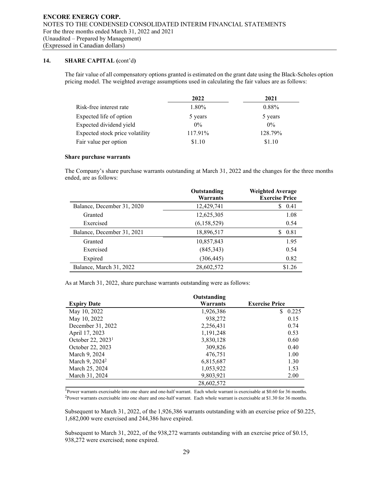## **14. SHARE CAPITAL (**cont'd**)**

The fair value of all compensatory options granted is estimated on the grant date using the Black-Scholes option pricing model. The weighted average assumptions used in calculating the fair values are as follows:

|                                 | 2022    | 2021     |
|---------------------------------|---------|----------|
| Risk-free interest rate         | 1.80%   | $0.88\%$ |
| Expected life of option         | 5 years | 5 years  |
| Expected dividend yield         | $0\%$   | $0\%$    |
| Expected stock price volatility | 117.91% | 128.79%  |
| Fair value per option           | \$1.10  | \$1.10   |

#### **Share purchase warrants**

The Company's share purchase warrants outstanding at March 31, 2022 and the changes for the three months ended, are as follows:

|                            | Outstanding<br>Warrants | <b>Weighted Average</b><br><b>Exercise Price</b> |
|----------------------------|-------------------------|--------------------------------------------------|
| Balance, December 31, 2020 | 12,429,741              | 0.41<br>S                                        |
| Granted                    | 12,625,305              | 1.08                                             |
| Exercised                  | (6,158,529)             | 0.54                                             |
| Balance, December 31, 2021 | 18,896,517              | 0.81<br>S                                        |
| Granted                    | 10,857,843              | 1.95                                             |
| Exercised                  | (845, 343)              | 0.54                                             |
| Expired                    | (306, 445)              | 0.82                                             |
| Balance, March 31, 2022    | 28,602,572              | \$1.26                                           |

As at March 31, 2022, share purchase warrants outstanding were as follows:

|                               | Outstanding |                       |
|-------------------------------|-------------|-----------------------|
| <b>Expiry Date</b>            | Warrants    | <b>Exercise Price</b> |
| May 10, 2022                  | 1,926,386   | S.<br>0.225           |
| May 10, 2022                  | 938,272     | 0.15                  |
| December 31, 2022             | 2,256,431   | 0.74                  |
| April 17, 2023                | 1,191,248   | 0.53                  |
| October 22, 2023 <sup>1</sup> | 3,830,128   | 0.60                  |
| October 22, 2023              | 309,826     | 0.40                  |
| March 9, 2024                 | 476,751     | 1.00                  |
| March 9, 2024 <sup>2</sup>    | 6,815,687   | 1.30                  |
| March 25, 2024                | 1,053,922   | 1.53                  |
| March 31, 2024                | 9,803,921   | 2.00                  |
|                               | 28,602,572  |                       |

<sup>1</sup>Power warrants exercisable into one share and one-half warrant. Each whole warrant is exercisable at \$0.60 for 36 months. 2Power warrants exercisable into one share and one-half warrant. Each whole warrant is exercisable at \$1.30 for 36 months.

Subsequent to March 31, 2022, of the 1,926,386 warrants outstanding with an exercise price of \$0.225, 1,682,000 were exercised and 244,386 have expired.

Subsequent to March 31, 2022, of the 938,272 warrants outstanding with an exercise price of \$0.15, 938,272 were exercised; none expired.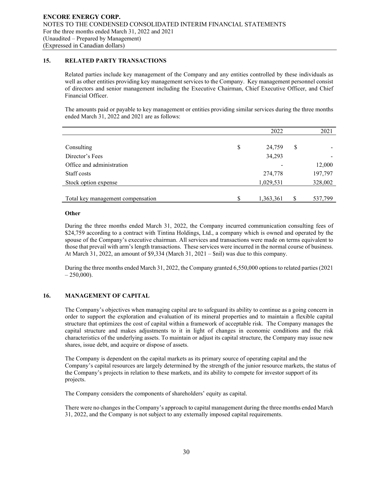## **15. RELATED PARTY TRANSACTIONS**

Related parties include key management of the Company and any entities controlled by these individuals as well as other entities providing key management services to the Company. Key management personnel consist of directors and senior management including the Executive Chairman, Chief Executive Officer, and Chief Financial Officer.

The amounts paid or payable to key management or entities providing similar services during the three months ended March 31, 2022 and 2021 are as follows:

|                                   | 2022            |    | 2021    |
|-----------------------------------|-----------------|----|---------|
|                                   |                 |    |         |
| Consulting                        | \$<br>24,759    | \$ |         |
| Director's Fees                   | 34,293          |    |         |
| Office and administration         |                 |    | 12,000  |
| Staff costs                       | 274,778         |    | 197,797 |
| Stock option expense              | 1,029,531       |    | 328,002 |
|                                   |                 |    |         |
| Total key management compensation | \$<br>1,363,361 | S  | 537,799 |

## **Other**

During the three months ended March 31, 2022, the Company incurred communication consulting fees of \$24,759 according to a contract with Tintina Holdings, Ltd., a company which is owned and operated by the spouse of the Company's executive chairman. All services and transactions were made on terms equivalent to those that prevail with arm's length transactions. These services were incurred in the normal course of business. At March 31, 2022, an amount of \$9,334 (March 31, 2021 – \$nil) was due to this company.

During the three months ended March 31, 2022, the Company granted 6,550,000 options to related parties (2021  $-250,000$ ).

## **16. MANAGEMENT OF CAPITAL**

The Company's objectives when managing capital are to safeguard its ability to continue as a going concern in order to support the exploration and evaluation of its mineral properties and to maintain a flexible capital structure that optimizes the cost of capital within a framework of acceptable risk. The Company manages the capital structure and makes adjustments to it in light of changes in economic conditions and the risk characteristics of the underlying assets. To maintain or adjust its capital structure, the Company may issue new shares, issue debt, and acquire or dispose of assets.

The Company is dependent on the capital markets as its primary source of operating capital and the Company's capital resources are largely determined by the strength of the junior resource markets, the status of the Company's projects in relation to these markets, and its ability to compete for investor support of its projects.

The Company considers the components of shareholders' equity as capital.

There were no changes in the Company's approach to capital management during the three months ended March 31, 2022, and the Company is not subject to any externally imposed capital requirements.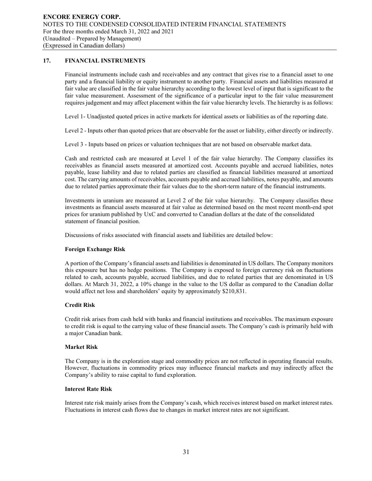## **17. FINANCIAL INSTRUMENTS**

Financial instruments include cash and receivables and any contract that gives rise to a financial asset to one party and a financial liability or equity instrument to another party. Financial assets and liabilities measured at fair value are classified in the fair value hierarchy according to the lowest level of input that is significant to the fair value measurement. Assessment of the significance of a particular input to the fair value measurement requires judgement and may affect placement within the fair value hierarchy levels. The hierarchy is as follows:

Level 1- Unadjusted quoted prices in active markets for identical assets or liabilities as of the reporting date.

Level 2 - Inputs other than quoted prices that are observable for the asset or liability, either directly or indirectly.

Level 3 - Inputs based on prices or valuation techniques that are not based on observable market data.

Cash and restricted cash are measured at Level 1 of the fair value hierarchy. The Company classifies its receivables as financial assets measured at amortized cost. Accounts payable and accrued liabilities, notes payable, lease liability and due to related parties are classified as financial liabilities measured at amortized cost. The carrying amounts of receivables, accounts payable and accrued liabilities, notes payable, and amounts due to related parties approximate their fair values due to the short-term nature of the financial instruments.

Investments in uranium are measured at Level 2 of the fair value hierarchy. The Company classifies these investments as financial assets measured at fair value as determined based on the most recent month-end spot prices for uranium published by UxC and converted to Canadian dollars at the date of the consolidated statement of financial position.

Discussions of risks associated with financial assets and liabilities are detailed below:

## **Foreign Exchange Risk**

A portion of the Company's financial assets and liabilities is denominated in US dollars. The Company monitors this exposure but has no hedge positions. The Company is exposed to foreign currency risk on fluctuations related to cash, accounts payable, accrued liabilities, and due to related parties that are denominated in US dollars. At March 31, 2022, a 10% change in the value to the US dollar as compared to the Canadian dollar would affect net loss and shareholders' equity by approximately \$210,831.

## **Credit Risk**

Credit risk arises from cash held with banks and financial institutions and receivables. The maximum exposure to credit risk is equal to the carrying value of these financial assets. The Company's cash is primarily held with a major Canadian bank.

### **Market Risk**

The Company is in the exploration stage and commodity prices are not reflected in operating financial results. However, fluctuations in commodity prices may influence financial markets and may indirectly affect the Company's ability to raise capital to fund exploration.

### **Interest Rate Risk**

Interest rate risk mainly arises from the Company's cash, which receives interest based on market interest rates. Fluctuations in interest cash flows due to changes in market interest rates are not significant.